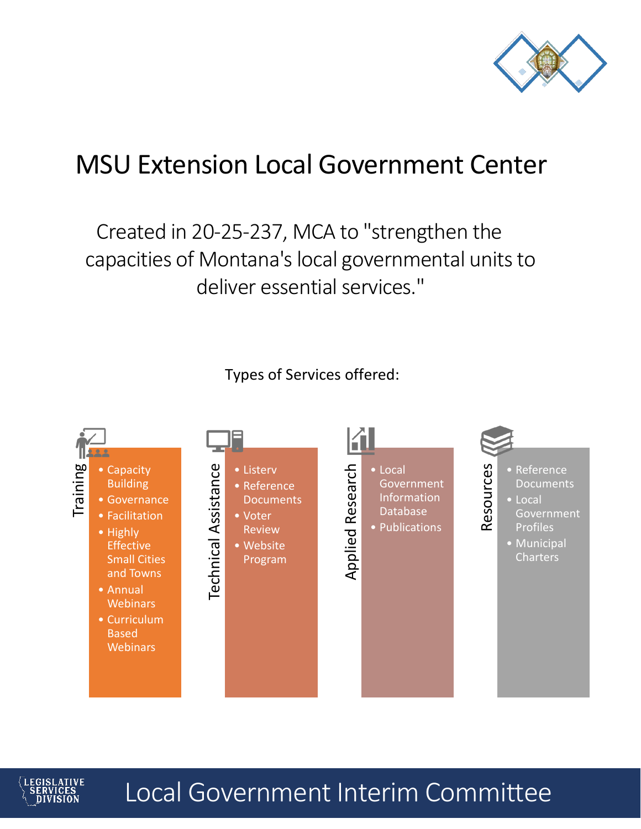

# MSU Extension Local Government Center

Created in 20-25-237, MCA to "strengthen the capacities of Montana's local governmental units to deliver essential services."

Types of Services offered:





Local Government Interim Committee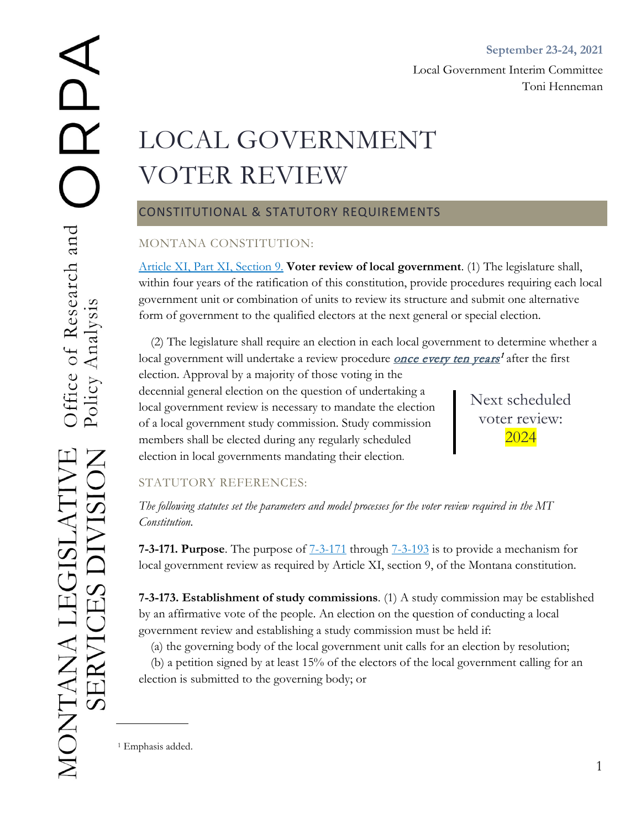# LOCAL GOVERNMENT VOTER REVIEW

# CONSTITUTIONAL & STATUTORY REQUIREMENTS

# MONTANA CONSTITUTION:

[Article XI, Part XI, Section 9.](https://leg.mt.gov/bills/mca/title_0000/article_0110/part_0010/section_0090/0000-0110-0010-0090.html) **Voter review of local government**. (1) The legislature shall, within four years of the ratification of this constitution, provide procedures requiring each local government unit or combination of units to review its structure and submit one alternative form of government to the qualified electors at the next general or special election.

(2) The legislature shall require an election in each local government to determine whether a local government will undertake a review procedure *once every ten years<sup>[1](#page-1-0)</sup>* after the first

election. Approval by a majority of those voting in the decennial general election on the question of undertaking a local government review is necessary to mandate the election of a local government study commission. Study commission members shall be elected during any regularly scheduled election in local governments mandating their election.

Next scheduled voter review: 2024

# STATUTORY REFERENCES:

*The following statutes set the parameters and model processes for the voter review required in the MT Constitution.* 

**7-3-171. Purpose**. The purpose of [7-3-171](https://leg.mt.gov/bills/mca/title_0070/chapter_0030/part_0010/section_0710/0070-0030-0010-0710.html) through [7-3-193](https://leg.mt.gov/bills/mca/title_0070/chapter_0030/part_0010/section_0930/0070-0030-0010-0930.html) is to provide a mechanism for local government review as required by Article XI, section 9, of the Montana constitution.

**7-3-173. Establishment of study commissions**. (1) A study commission may be established by an affirmative vote of the people. An election on the question of conducting a local government review and establishing a study commission must be held if:

(a) the governing body of the local government unit calls for an election by resolution;

(b) a petition signed by at least 15% of the electors of the local government calling for an election is submitted to the governing body; or

<span id="page-1-0"></span><sup>1</sup> Emphasis added.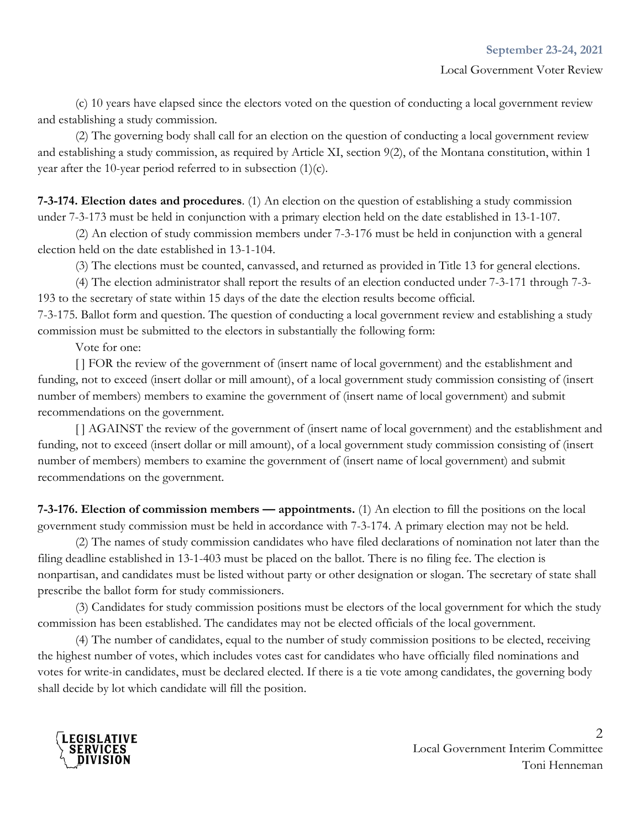(c) 10 years have elapsed since the electors voted on the question of conducting a local government review and establishing a study commission.

(2) The governing body shall call for an election on the question of conducting a local government review and establishing a study commission, as required by Article XI, section 9(2), of the Montana constitution, within 1 year after the 10-year period referred to in subsection (1)(c).

**7-3-174. Election dates and procedures**. (1) An election on the question of establishing a study commission under 7-3-173 must be held in conjunction with a primary election held on the date established in 13-1-107.

(2) An election of study commission members under 7-3-176 must be held in conjunction with a general election held on the date established in 13-1-104.

(3) The elections must be counted, canvassed, and returned as provided in Title 13 for general elections.

(4) The election administrator shall report the results of an election conducted under 7-3-171 through 7-3- 193 to the secretary of state within 15 days of the date the election results become official.

7-3-175. Ballot form and question. The question of conducting a local government review and establishing a study commission must be submitted to the electors in substantially the following form:

Vote for one:

[ ] FOR the review of the government of (insert name of local government) and the establishment and funding, not to exceed (insert dollar or mill amount), of a local government study commission consisting of (insert number of members) members to examine the government of (insert name of local government) and submit recommendations on the government.

[] AGAINST the review of the government of (insert name of local government) and the establishment and funding, not to exceed (insert dollar or mill amount), of a local government study commission consisting of (insert number of members) members to examine the government of (insert name of local government) and submit recommendations on the government.

**7-3-176. Election of commission members — appointments.** (1) An election to fill the positions on the local government study commission must be held in accordance with 7-3-174. A primary election may not be held.

(2) The names of study commission candidates who have filed declarations of nomination not later than the filing deadline established in 13-1-403 must be placed on the ballot. There is no filing fee. The election is nonpartisan, and candidates must be listed without party or other designation or slogan. The secretary of state shall prescribe the ballot form for study commissioners.

(3) Candidates for study commission positions must be electors of the local government for which the study commission has been established. The candidates may not be elected officials of the local government.

(4) The number of candidates, equal to the number of study commission positions to be elected, receiving the highest number of votes, which includes votes cast for candidates who have officially filed nominations and votes for write-in candidates, must be declared elected. If there is a tie vote among candidates, the governing body shall decide by lot which candidate will fill the position.



 $\mathcal{D}_{\mathcal{L}}$ Local Government Interim Committee Toni Henneman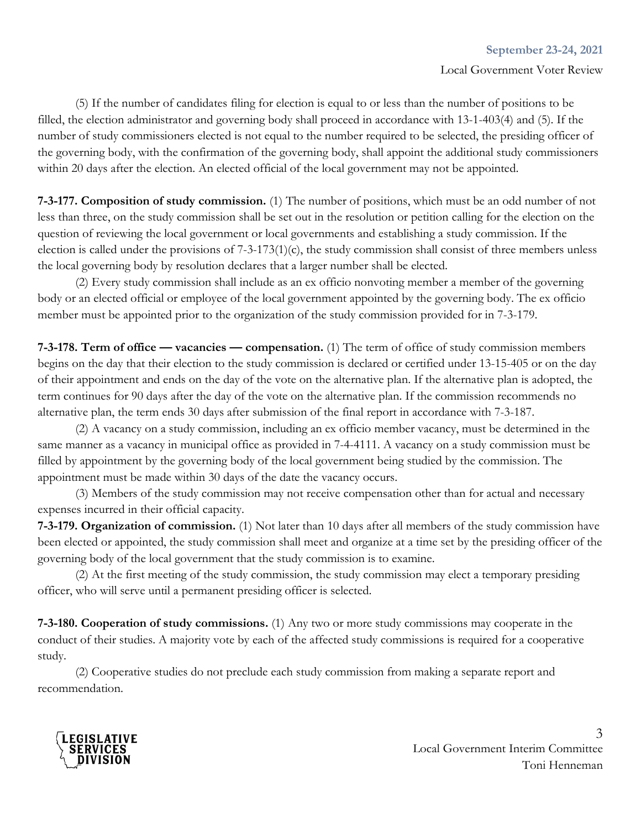(5) If the number of candidates filing for election is equal to or less than the number of positions to be filled, the election administrator and governing body shall proceed in accordance with 13-1-403(4) and (5). If the number of study commissioners elected is not equal to the number required to be selected, the presiding officer of the governing body, with the confirmation of the governing body, shall appoint the additional study commissioners within 20 days after the election. An elected official of the local government may not be appointed.

**7-3-177. Composition of study commission.** (1) The number of positions, which must be an odd number of not less than three, on the study commission shall be set out in the resolution or petition calling for the election on the question of reviewing the local government or local governments and establishing a study commission. If the election is called under the provisions of 7-3-173(1)(c), the study commission shall consist of three members unless the local governing body by resolution declares that a larger number shall be elected.

(2) Every study commission shall include as an ex officio nonvoting member a member of the governing body or an elected official or employee of the local government appointed by the governing body. The ex officio member must be appointed prior to the organization of the study commission provided for in 7-3-179.

**7-3-178. Term of office — vacancies — compensation.** (1) The term of office of study commission members begins on the day that their election to the study commission is declared or certified under 13-15-405 or on the day of their appointment and ends on the day of the vote on the alternative plan. If the alternative plan is adopted, the term continues for 90 days after the day of the vote on the alternative plan. If the commission recommends no alternative plan, the term ends 30 days after submission of the final report in accordance with 7-3-187.

(2) A vacancy on a study commission, including an ex officio member vacancy, must be determined in the same manner as a vacancy in municipal office as provided in 7-4-4111. A vacancy on a study commission must be filled by appointment by the governing body of the local government being studied by the commission. The appointment must be made within 30 days of the date the vacancy occurs.

(3) Members of the study commission may not receive compensation other than for actual and necessary expenses incurred in their official capacity.

**7-3-179. Organization of commission.** (1) Not later than 10 days after all members of the study commission have been elected or appointed, the study commission shall meet and organize at a time set by the presiding officer of the governing body of the local government that the study commission is to examine.

(2) At the first meeting of the study commission, the study commission may elect a temporary presiding officer, who will serve until a permanent presiding officer is selected.

**7-3-180. Cooperation of study commissions.** (1) Any two or more study commissions may cooperate in the conduct of their studies. A majority vote by each of the affected study commissions is required for a cooperative study.

(2) Cooperative studies do not preclude each study commission from making a separate report and recommendation.

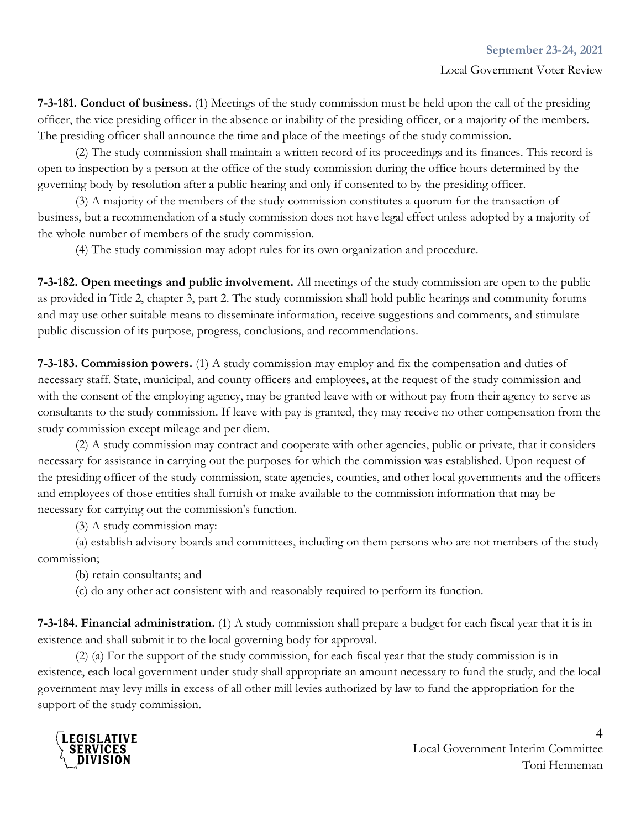**7-3-181. Conduct of business.** (1) Meetings of the study commission must be held upon the call of the presiding officer, the vice presiding officer in the absence or inability of the presiding officer, or a majority of the members. The presiding officer shall announce the time and place of the meetings of the study commission.

(2) The study commission shall maintain a written record of its proceedings and its finances. This record is open to inspection by a person at the office of the study commission during the office hours determined by the governing body by resolution after a public hearing and only if consented to by the presiding officer.

(3) A majority of the members of the study commission constitutes a quorum for the transaction of business, but a recommendation of a study commission does not have legal effect unless adopted by a majority of the whole number of members of the study commission.

(4) The study commission may adopt rules for its own organization and procedure.

**7-3-182. Open meetings and public involvement.** All meetings of the study commission are open to the public as provided in Title 2, chapter 3, part 2. The study commission shall hold public hearings and community forums and may use other suitable means to disseminate information, receive suggestions and comments, and stimulate public discussion of its purpose, progress, conclusions, and recommendations.

**7-3-183. Commission powers.** (1) A study commission may employ and fix the compensation and duties of necessary staff. State, municipal, and county officers and employees, at the request of the study commission and with the consent of the employing agency, may be granted leave with or without pay from their agency to serve as consultants to the study commission. If leave with pay is granted, they may receive no other compensation from the study commission except mileage and per diem.

(2) A study commission may contract and cooperate with other agencies, public or private, that it considers necessary for assistance in carrying out the purposes for which the commission was established. Upon request of the presiding officer of the study commission, state agencies, counties, and other local governments and the officers and employees of those entities shall furnish or make available to the commission information that may be necessary for carrying out the commission's function.

(3) A study commission may:

(a) establish advisory boards and committees, including on them persons who are not members of the study commission;

(b) retain consultants; and

(c) do any other act consistent with and reasonably required to perform its function.

**7-3-184. Financial administration.** (1) A study commission shall prepare a budget for each fiscal year that it is in existence and shall submit it to the local governing body for approval.

(2) (a) For the support of the study commission, for each fiscal year that the study commission is in existence, each local government under study shall appropriate an amount necessary to fund the study, and the local government may levy mills in excess of all other mill levies authorized by law to fund the appropriation for the support of the study commission.

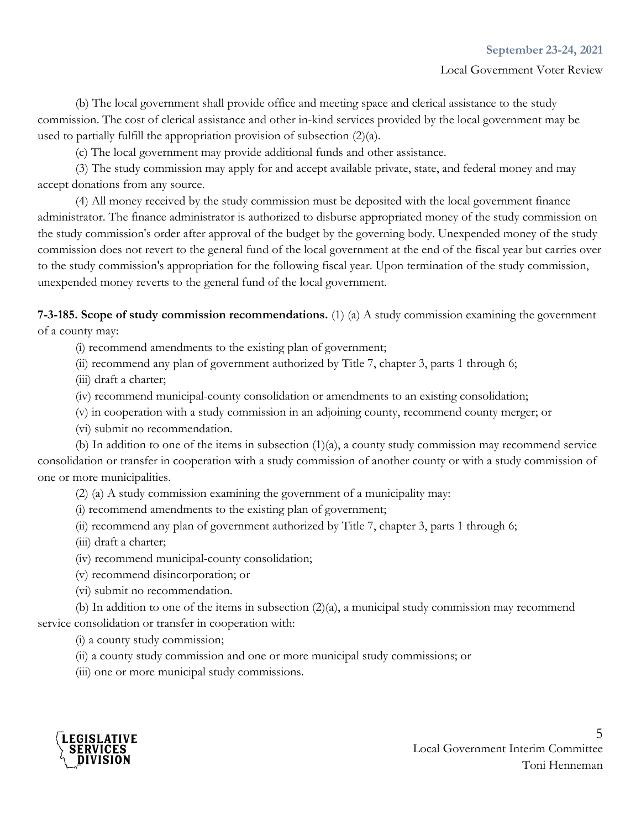#### Local Government Voter Review

(b) The local government shall provide office and meeting space and clerical assistance to the study commission. The cost of clerical assistance and other in-kind services provided by the local government may be used to partially fulfill the appropriation provision of subsection (2)(a).

(c) The local government may provide additional funds and other assistance.

(3) The study commission may apply for and accept available private, state, and federal money and may accept donations from any source.

(4) All money received by the study commission must be deposited with the local government finance administrator. The finance administrator is authorized to disburse appropriated money of the study commission on the study commission's order after approval of the budget by the governing body. Unexpended money of the study commission does not revert to the general fund of the local government at the end of the fiscal year but carries over to the study commission's appropriation for the following fiscal year. Upon termination of the study commission, unexpended money reverts to the general fund of the local government.

**7-3-185. Scope of study commission recommendations.** (1) (a) A study commission examining the government of a county may:

(i) recommend amendments to the existing plan of government;

(ii) recommend any plan of government authorized by Title 7, chapter 3, parts 1 through 6;

(iii) draft a charter;

(iv) recommend municipal-county consolidation or amendments to an existing consolidation;

(v) in cooperation with a study commission in an adjoining county, recommend county merger; or

(vi) submit no recommendation.

(b) In addition to one of the items in subsection (1)(a), a county study commission may recommend service consolidation or transfer in cooperation with a study commission of another county or with a study commission of one or more municipalities.

(2) (a) A study commission examining the government of a municipality may:

(i) recommend amendments to the existing plan of government;

(ii) recommend any plan of government authorized by Title 7, chapter 3, parts 1 through 6;

(iii) draft a charter;

(iv) recommend municipal-county consolidation;

(v) recommend disincorporation; or

(vi) submit no recommendation.

(b) In addition to one of the items in subsection (2)(a), a municipal study commission may recommend service consolidation or transfer in cooperation with:

(i) a county study commission;

(ii) a county study commission and one or more municipal study commissions; or

(iii) one or more municipal study commissions.

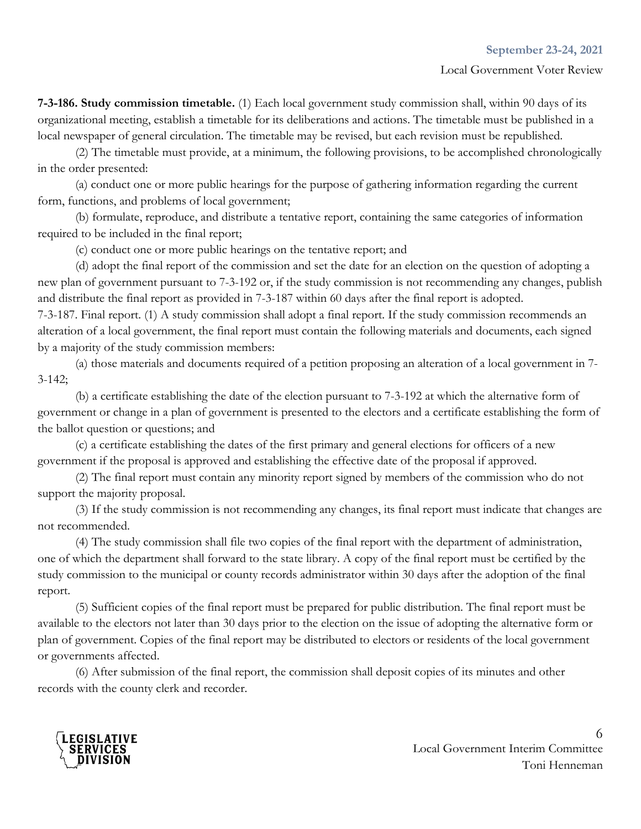**7-3-186. Study commission timetable.** (1) Each local government study commission shall, within 90 days of its organizational meeting, establish a timetable for its deliberations and actions. The timetable must be published in a local newspaper of general circulation. The timetable may be revised, but each revision must be republished.

(2) The timetable must provide, at a minimum, the following provisions, to be accomplished chronologically in the order presented:

(a) conduct one or more public hearings for the purpose of gathering information regarding the current form, functions, and problems of local government;

(b) formulate, reproduce, and distribute a tentative report, containing the same categories of information required to be included in the final report;

(c) conduct one or more public hearings on the tentative report; and

(d) adopt the final report of the commission and set the date for an election on the question of adopting a new plan of government pursuant to 7-3-192 or, if the study commission is not recommending any changes, publish and distribute the final report as provided in 7-3-187 within 60 days after the final report is adopted.

7-3-187. Final report. (1) A study commission shall adopt a final report. If the study commission recommends an alteration of a local government, the final report must contain the following materials and documents, each signed by a majority of the study commission members:

(a) those materials and documents required of a petition proposing an alteration of a local government in 7- 3-142;

(b) a certificate establishing the date of the election pursuant to 7-3-192 at which the alternative form of government or change in a plan of government is presented to the electors and a certificate establishing the form of the ballot question or questions; and

(c) a certificate establishing the dates of the first primary and general elections for officers of a new government if the proposal is approved and establishing the effective date of the proposal if approved.

(2) The final report must contain any minority report signed by members of the commission who do not support the majority proposal.

(3) If the study commission is not recommending any changes, its final report must indicate that changes are not recommended.

(4) The study commission shall file two copies of the final report with the department of administration, one of which the department shall forward to the state library. A copy of the final report must be certified by the study commission to the municipal or county records administrator within 30 days after the adoption of the final report.

(5) Sufficient copies of the final report must be prepared for public distribution. The final report must be available to the electors not later than 30 days prior to the election on the issue of adopting the alternative form or plan of government. Copies of the final report may be distributed to electors or residents of the local government or governments affected.

(6) After submission of the final report, the commission shall deposit copies of its minutes and other records with the county clerk and recorder.

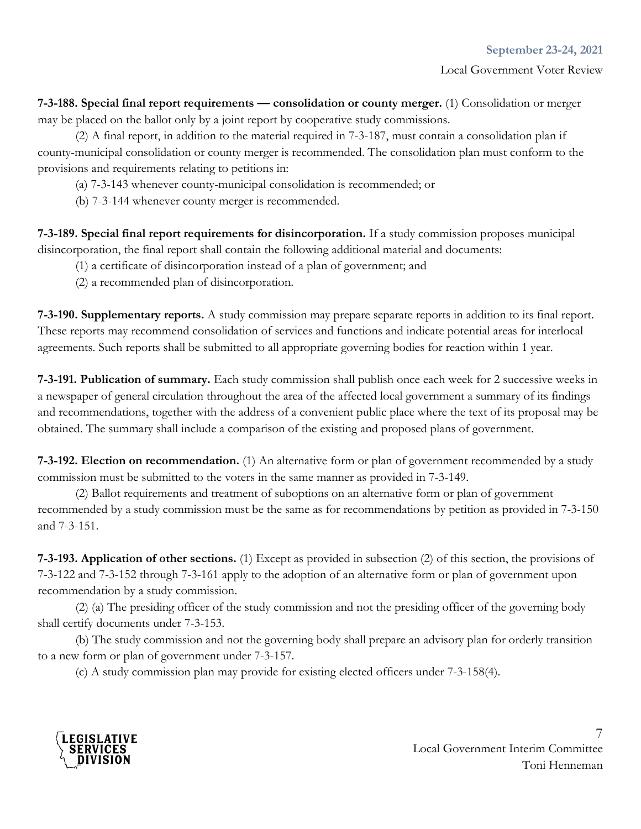**7-3-188. Special final report requirements — consolidation or county merger.** (1) Consolidation or merger may be placed on the ballot only by a joint report by cooperative study commissions.

(2) A final report, in addition to the material required in 7-3-187, must contain a consolidation plan if county-municipal consolidation or county merger is recommended. The consolidation plan must conform to the provisions and requirements relating to petitions in:

(a) 7-3-143 whenever county-municipal consolidation is recommended; or

(b) 7-3-144 whenever county merger is recommended.

**7-3-189. Special final report requirements for disincorporation.** If a study commission proposes municipal disincorporation, the final report shall contain the following additional material and documents:

- (1) a certificate of disincorporation instead of a plan of government; and
- (2) a recommended plan of disincorporation.

**7-3-190. Supplementary reports.** A study commission may prepare separate reports in addition to its final report. These reports may recommend consolidation of services and functions and indicate potential areas for interlocal agreements. Such reports shall be submitted to all appropriate governing bodies for reaction within 1 year.

**7-3-191. Publication of summary.** Each study commission shall publish once each week for 2 successive weeks in a newspaper of general circulation throughout the area of the affected local government a summary of its findings and recommendations, together with the address of a convenient public place where the text of its proposal may be obtained. The summary shall include a comparison of the existing and proposed plans of government.

**7-3-192. Election on recommendation.** (1) An alternative form or plan of government recommended by a study commission must be submitted to the voters in the same manner as provided in 7-3-149.

(2) Ballot requirements and treatment of suboptions on an alternative form or plan of government recommended by a study commission must be the same as for recommendations by petition as provided in 7-3-150 and 7-3-151.

**7-3-193. Application of other sections.** (1) Except as provided in subsection (2) of this section, the provisions of 7-3-122 and 7-3-152 through 7-3-161 apply to the adoption of an alternative form or plan of government upon recommendation by a study commission.

(2) (a) The presiding officer of the study commission and not the presiding officer of the governing body shall certify documents under 7-3-153.

(b) The study commission and not the governing body shall prepare an advisory plan for orderly transition to a new form or plan of government under 7-3-157.

(c) A study commission plan may provide for existing elected officers under 7-3-158(4).